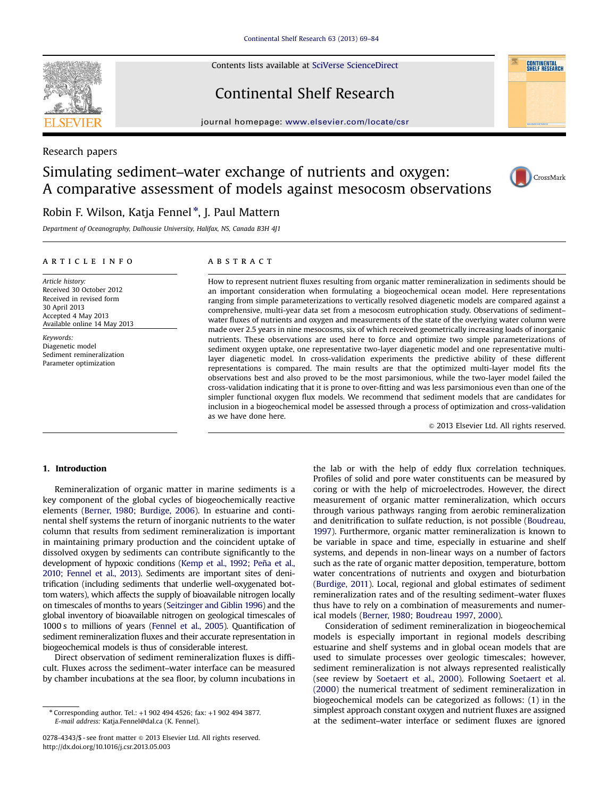Contents lists available at SciVerse ScienceDirect

# **SEVIEE**

Research papers

# Continental Shelf Research



 $j<sub>0</sub>$ 

# Simulating sediment–water exchange of nutrients and oxygen: A comparative assessment of models against mesocosm observations



## Robin F. Wilson, Katja Fennel<sup>\*</sup>, J. Paul Mattern

Department of Oceanography, Dalhousie University, Halifax, NS, Canada B3H 4J1

### article info

Article history: Received 30 October 2012 Received in revised form 30 April 2013 Accepted 4 May 2013 Available online 14 May 2013

Keywords: Diagenetic model Sediment remineralization Parameter optimization

### ABSTRACT

How to represent nutrient fluxes resulting from organic matter remineralization in sediments should be an important consideration when formulating a biogeochemical ocean model. Here representations ranging from simple parameterizations to vertically resolved diagenetic models are compared against a comprehensive, multi-year data set from a mesocosm eutrophication study. Observations of sediment– water fluxes of nutrients and oxygen and measurements of the state of the overlying water column were made over 2.5 years in nine mesocosms, six of which received geometrically increasing loads of inorganic nutrients. These observations are used here to force and optimize two simple parameterizations of sediment oxygen uptake, one representative two-layer diagenetic model and one representative multilayer diagenetic model. In cross-validation experiments the predictive ability of these different representations is compared. The main results are that the optimized multi-layer model fits the observations best and also proved to be the most parsimonious, while the two-layer model failed the cross-validation indicating that it is prone to over-fitting and was less parsimonious even than one of the simpler functional oxygen flux models. We recommend that sediment models that are candidates for inclusion in a biogeochemical model be assessed through a process of optimization and cross-validation as we have done here.

 $\odot$  2013 Elsevier Ltd. All rights reserved.

### 1. Introduction

Remineralization of organic matter in marine sediments is a key component of the global cycles of biogeochemically reactive elements [\(Berner, 1980;](#page-14-0) [Burdige, 2006\)](#page-14-0). In estuarine and continental shelf systems the return of inorganic nutrients to the water column that results from sediment remineralization is important in maintaining primary production and the coincident uptake of dissolved oxygen by sediments can contribute significantly to the development of hypoxic conditions [\(Kemp et al., 1992](#page-15-0); [Peña et al.,](#page-15-0) [2010](#page-15-0); [Fennel et al., 2013\)](#page-14-0). Sediments are important sites of denitrification (including sediments that underlie well-oxygenated bottom waters), which affects the supply of bioavailable nitrogen locally on timescales of months to years ([Seitzinger and Giblin 1996](#page-15-0)) and the global inventory of bioavailable nitrogen on geological timescales of 1000 s to millions of years [\(Fennel et al., 2005](#page-14-0)). Quantification of sediment remineralization fluxes and their accurate representation in biogeochemical models is thus of considerable interest.

Direct observation of sediment remineralization fluxes is difficult. Fluxes across the sediment–water interface can be measured by chamber incubations at the sea floor, by column incubations in the lab or with the help of eddy flux correlation techniques. Profiles of solid and pore water constituents can be measured by coring or with the help of microelectrodes. However, the direct measurement of organic matter remineralization, which occurs through various pathways ranging from aerobic remineralization and denitrification to sulfate reduction, is not possible ([Boudreau,](#page-14-0) [1997\)](#page-14-0). Furthermore, organic matter remineralization is known to be variable in space and time, especially in estuarine and shelf systems, and depends in non-linear ways on a number of factors such as the rate of organic matter deposition, temperature, bottom water concentrations of nutrients and oxygen and bioturbation ([Burdige, 2011\)](#page-14-0). Local, regional and global estimates of sediment remineralization rates and of the resulting sediment–water fluxes thus have to rely on a combination of measurements and numerical models ([Berner, 1980](#page-14-0); [Boudreau 1997,](#page-14-0) [2000](#page-14-0)).

Consideration of sediment remineralization in biogeochemical models is especially important in regional models describing estuarine and shelf systems and in global ocean models that are used to simulate processes over geologic timescales; however, sediment remineralization is not always represented realistically (see review by [Soetaert et al., 2000](#page-15-0)). Following [Soetaert et al.](#page-15-0) [\(2000\)](#page-15-0) the numerical treatment of sediment remineralization in biogeochemical models can be categorized as follows: (1) in the simplest approach constant oxygen and nutrient fluxes are assigned at the sediment–water interface or sediment fluxes are ignored

<sup>n</sup> Corresponding author. Tel.: +1 902 494 4526; fax: +1 902 494 3877. E-mail address: [Katja.Fennel@dal.ca \(K. Fennel\)](mailto:Katja.Fennel@dal.ca).

<sup>0278-4343/\$ -</sup> see front matter @ 2013 Elsevier Ltd. All rights reserved. <http://dx.doi.org/10.1016/j.csr.2013.05.003>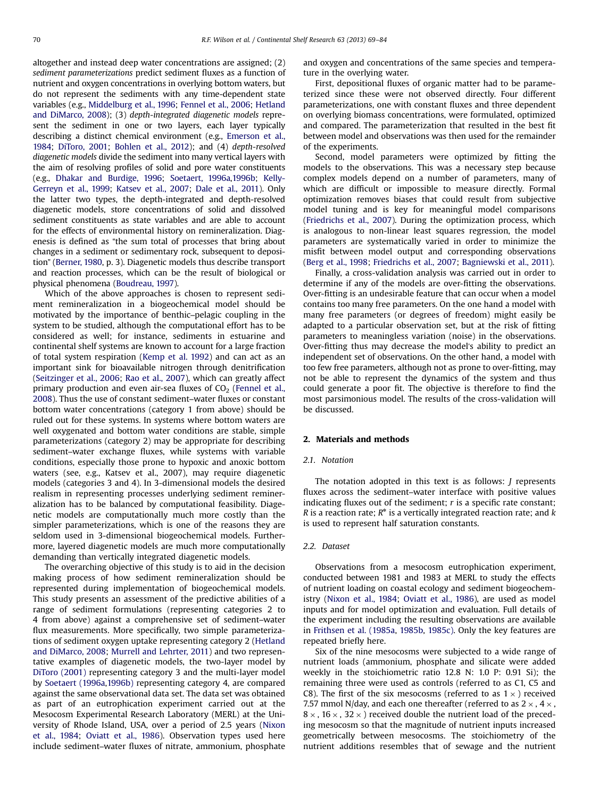<span id="page-1-0"></span>altogether and instead deep water concentrations are assigned; (2) sediment parameterizations predict sediment fluxes as a function of nutrient and oxygen concentrations in overlying bottom waters, but do not represent the sediments with any time-dependent state variables (e.g., [Middelburg et al., 1996](#page-15-0); [Fennel et al., 2006;](#page-14-0) [Hetland](#page-15-0) [and DiMarco, 2008\)](#page-15-0); (3) depth-integrated diagenetic models represent the sediment in one or two layers, each layer typically describing a distinct chemical environment (e.g., [Emerson et al.,](#page-14-0) [1984;](#page-14-0) [DiToro, 2001](#page-14-0); [Bohlen et al., 2012](#page-14-0)); and (4) depth-resolved diagenetic models divide the sediment into many vertical layers with the aim of resolving profiles of solid and pore water constituents (e.g., [Dhakar and Burdige, 1996;](#page-14-0) [Soetaert, 1996a](#page-15-0),[1996b;](#page-15-0) [Kelly-](#page-15-0)[Gerreyn et al., 1999](#page-15-0); [Katsev et al., 2007;](#page-15-0) [Dale et al., 2011\)](#page-14-0). Only the latter two types, the depth-integrated and depth-resolved diagenetic models, store concentrations of solid and dissolved sediment constituents as state variables and are able to account for the effects of environmental history on remineralization. Diagenesis is defined as "the sum total of processes that bring about changes in a sediment or sedimentary rock, subsequent to deposition" [\(Berner, 1980](#page-14-0), p. 3). Diagenetic models thus describe transport and reaction processes, which can be the result of biological or physical phenomena ([Boudreau, 1997](#page-14-0)).

Which of the above approaches is chosen to represent sediment remineralization in a biogeochemical model should be motivated by the importance of benthic–pelagic coupling in the system to be studied, although the computational effort has to be considered as well; for instance, sediments in estuarine and continental shelf systems are known to account for a large fraction of total system respiration ([Kemp et al. 1992\)](#page-15-0) and can act as an important sink for bioavailable nitrogen through denitrification ([Seitzinger et al., 2006;](#page-15-0) [Rao et al., 2007](#page-15-0)), which can greatly affect primary production and even air-sea fluxes of  $CO<sub>2</sub>$  [\(Fennel et al.,](#page-14-0) [2008\)](#page-14-0). Thus the use of constant sediment–water fluxes or constant bottom water concentrations (category 1 from above) should be ruled out for these systems. In systems where bottom waters are well oxygenated and bottom water conditions are stable, simple parameterizations (category 2) may be appropriate for describing sediment–water exchange fluxes, while systems with variable conditions, especially those prone to hypoxic and anoxic bottom waters (see, e.g., Katsev et al., 2007), may require diagenetic models (categories 3 and 4). In 3-dimensional models the desired realism in representing processes underlying sediment remineralization has to be balanced by computational feasibility. Diagenetic models are computationally much more costly than the simpler parameterizations, which is one of the reasons they are seldom used in 3-dimensional biogeochemical models. Furthermore, layered diagenetic models are much more computationally demanding than vertically integrated diagenetic models.

The overarching objective of this study is to aid in the decision making process of how sediment remineralization should be represented during implementation of biogeochemical models. This study presents an assessment of the predictive abilities of a range of sediment formulations (representing categories 2 to 4 from above) against a comprehensive set of sediment–water flux measurements. More specifically, two simple parameterizations of sediment oxygen uptake representing category 2 ([Hetland](#page-15-0) [and DiMarco, 2008](#page-15-0); [Murrell and Lehrter, 2011\)](#page-15-0) and two representative examples of diagenetic models, the two-layer model by [DiToro \(2001\)](#page-14-0) representing category 3 and the multi-layer model by [Soetaert \(1996a,1996b\)](#page-15-0) representing category 4, are compared against the same observational data set. The data set was obtained as part of an eutrophication experiment carried out at the Mesocosm Experimental Research Laboratory (MERL) at the University of Rhode Island, USA, over a period of 2.5 years [\(Nixon](#page-15-0) [et al., 1984](#page-15-0); [Oviatt et al., 1986\)](#page-15-0). Observation types used here include sediment–water fluxes of nitrate, ammonium, phosphate and oxygen and concentrations of the same species and temperature in the overlying water.

First, depositional fluxes of organic matter had to be parameterized since these were not observed directly. Four different parameterizations, one with constant fluxes and three dependent on overlying biomass concentrations, were formulated, optimized and compared. The parameterization that resulted in the best fit between model and observations was then used for the remainder of the experiments.

Second, model parameters were optimized by fitting the models to the observations. This was a necessary step because complex models depend on a number of parameters, many of which are difficult or impossible to measure directly. Formal optimization removes biases that could result from subjective model tuning and is key for meaningful model comparisons ([Friedrichs et al., 2007\)](#page-15-0). During the optimization process, which is analogous to non-linear least squares regression, the model parameters are systematically varied in order to minimize the misfit between model output and corresponding observations ([Berg et al., 1998;](#page-14-0) [Friedrichs et al., 2007;](#page-15-0) [Bagniewski et al., 2011\)](#page-14-0).

Finally, a cross-validation analysis was carried out in order to determine if any of the models are over-fitting the observations. Over-fitting is an undesirable feature that can occur when a model contains too many free parameters. On the one hand a model with many free parameters (or degrees of freedom) might easily be adapted to a particular observation set, but at the risk of fitting parameters to meaningless variation (noise) in the observations. Over-fitting thus may decrease the model's ability to predict an independent set of observations. On the other hand, a model with too few free parameters, although not as prone to over-fitting, may not be able to represent the dynamics of the system and thus could generate a poor fit. The objective is therefore to find the most parsimonious model. The results of the cross-validation will be discussed.

### 2. Materials and methods

### 2.1. Notation

The notation adopted in this text is as follows: J represents fluxes across the sediment–water interface with positive values indicating fluxes out of the sediment;  $r$  is a specific rate constant; R is a reaction rate;  $R^*$  is a vertically integrated reaction rate; and k is used to represent half saturation constants.

### 2.2. Dataset

Observations from a mesocosm eutrophication experiment, conducted between 1981 and 1983 at MERL to study the effects of nutrient loading on coastal ecology and sediment biogeochemistry [\(Nixon et al., 1984;](#page-15-0) [Oviatt et al., 1986](#page-15-0)), are used as model inputs and for model optimization and evaluation. Full details of the experiment including the resulting observations are available in [Frithsen et al. \(1985a,](#page-15-0) [1985b,](#page-15-0) [1985c\).](#page-15-0) Only the key features are repeated briefly here.

Six of the nine mesocosms were subjected to a wide range of nutrient loads (ammonium, phosphate and silicate were added weekly in the stoichiometric ratio 12.8 N: 1.0 P: 0.91 Si); the remaining three were used as controls (referred to as C1, C5 and C8). The first of the six mesocosms (referred to as  $1 \times$ ) received 7.57 mmol N/day, and each one thereafter (referred to as  $2 \times 0.4 \times 0.5$  $8 \times$ , 16  $\times$ , 32  $\times$ ) received double the nutrient load of the preceding mesocosm so that the magnitude of nutrient inputs increased geometrically between mesocosms. The stoichiometry of the nutrient additions resembles that of sewage and the nutrient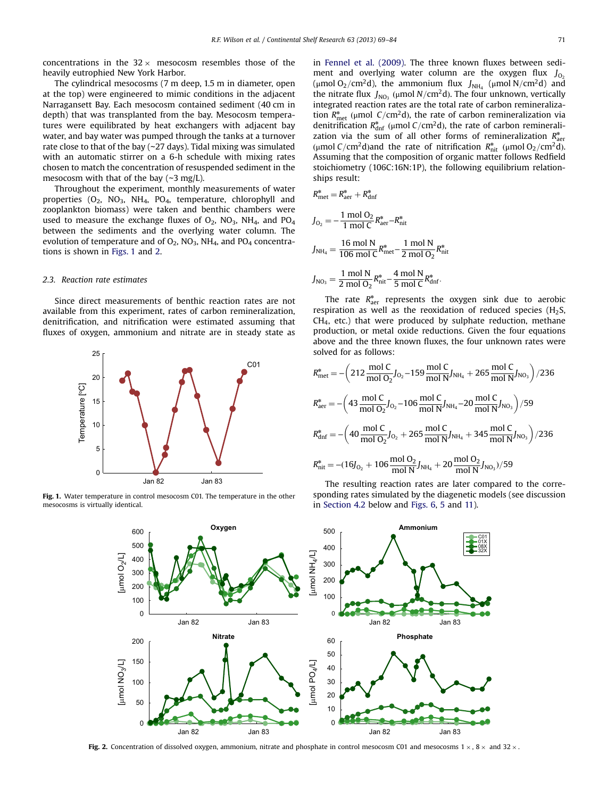<span id="page-2-0"></span>concentrations in the  $32 \times$  mesocosm resembles those of the heavily eutrophied New York Harbor.

The cylindrical mesocosms (7 m deep, 1.5 m in diameter, open at the top) were engineered to mimic conditions in the adjacent Narragansett Bay. Each mesocosm contained sediment (40 cm in depth) that was transplanted from the bay. Mesocosm temperatures were equilibrated by heat exchangers with adjacent bay water, and bay water was pumped through the tanks at a turnover rate close to that of the bay (∼27 days). Tidal mixing was simulated with an automatic stirrer on a 6-h schedule with mixing rates chosen to match the concentration of resuspended sediment in the mesocosm with that of the bay (∼3 mg/L).

Throughout the experiment, monthly measurements of water properties  $(O_2, NO_3, NH_4, PO_4,$  temperature, chlorophyll and zooplankton biomass) were taken and benthic chambers were used to measure the exchange fluxes of  $O_2$ ,  $NO_3$ ,  $NH_4$ , and  $PO_4$ between the sediments and the overlying water column. The evolution of temperature and of  $O_2$ ,  $NO_3$ ,  $NH_4$ , and  $PO_4$  concentrations is shown in Figs. 1 and 2.

### 2.3. Reaction rate estimates

Since direct measurements of benthic reaction rates are not available from this experiment, rates of carbon remineralization, denitrification, and nitrification were estimated assuming that fluxes of oxygen, ammonium and nitrate are in steady state as





in [Fennel et al. \(2009\).](#page-14-0) The three known fluxes between sediment and overlying water column are the oxygen flux  $J_{\Omega_2}$ (μmol O<sub>2</sub>/cm<sup>2</sup>d), the ammonium flux  $J_{NH_4}$  (μmol N/cm<sup>2</sup>d) and the nitrate flux  $J_{NO_3}$  (µmol N/cm<sup>2</sup>d). The four unknown, vertically integrated reaction rates are the total rate of carbon remineralization  $R_{\text{met}}^*$  (µmol  $C/\text{cm}^2$ d), the rate of carbon remineralization via<br>denitrification  $R^*$  (µmol  $C/\text{cm}^2$ d), the rate of carbon remineralidenitrification  $R_{\text{dnf}}^*$  (µmol C/cm<sup>2</sup>d), the rate of carbon reminerali-<br>zation via the sum of all other forms of remineralization  $R^*$ zation via the sum of all other forms of remineralization  $R_{\text{a}e}^{*}$ (µmol C/cm<sup>2</sup>d) and the rate of nitrification  $R_{\text{nit}}^*$  (µmol O<sub>2</sub>/cm<sup>2</sup>d). Assuming that the composition of organic matter follows Redfield stoichiometry (106C:16N:1P), the following equilibrium relationships result:

$$
R_{\text{met}}^* = R_{\text{aer}}^* + R_{\text{dnf}}^*
$$
\n
$$
J_{\text{O}_2} = -\frac{1 \text{ mol } \text{O}_2}{1 \text{ mol } \text{C}} R_{\text{aer}}^* - R_{\text{nit}}^*
$$
\n
$$
J_{\text{NH}_4} = \frac{16 \text{ mol N}}{106 \text{ mol C}} R_{\text{met}}^* - \frac{1 \text{ mol N}}{2 \text{ mol } \text{O}_2} R_{\text{nit}}^*
$$
\n
$$
J_{\text{NO}_3} = \frac{1 \text{ mol N}}{2 \text{ mol } \text{O}_2} R_{\text{nit}}^* - \frac{4 \text{ mol N}}{5 \text{ mol C}} R_{\text{dnf}}^*.
$$

The rate  $R_{\text{aer}}^{*}$  represents the oxygen sink due to aerobic respiration as well as the reoxidation of reduced species  $(H_2S, H_3S)$  $CH<sub>4</sub>$ , etc.) that were produced by sulphate reduction, methane production, or metal oxide reductions. Given the four equations above and the three known fluxes, the four unknown rates were solved for as follows:

$$
R_{\text{met}}^* = -\left(212 \frac{\text{mol C}}{\text{mol O}_2} J_{\text{O}_2} - 159 \frac{\text{mol C}}{\text{mol N}} J_{\text{NH}_4} + 265 \frac{\text{mol C}}{\text{mol N}} J_{\text{NO}_3}\right) / 236
$$
  
\n
$$
R_{\text{der}}^* = -\left(43 \frac{\text{mol C}}{\text{mol O}_2} J_{\text{O}_2} - 106 \frac{\text{mol C}}{\text{mol N}} J_{\text{NH}_4} - 20 \frac{\text{mol C}}{\text{mol N}} J_{\text{NO}_3}\right) / 59
$$
  
\n
$$
R_{\text{drf}}^* = -\left(40 \frac{\text{mol C}}{\text{mol O}_2} J_{\text{O}_2} + 265 \frac{\text{mol C}}{\text{mol N}} J_{\text{NH}_4} + 345 \frac{\text{mol C}}{\text{mol N}} J_{\text{NO}_3}\right) / 236
$$
  
\n
$$
R_{\text{nit}}^* = -(16J_{\text{O}_2} + 106 \frac{\text{mol O}_2}{\text{mol N}} J_{\text{NH}_4} + 20 \frac{\text{mol O}_2}{\text{mol N}} J_{\text{NO}_3}) / 59
$$

The resulting reaction rates are later compared to the corresponding rates simulated by the diagenetic models (see discussion in [Section 4.2](#page-12-0) below and [Figs. 6](#page-7-0), [5](#page-7-0) and [11\)](#page-11-0).



Fig. 2. Concentration of dissolved oxygen, ammonium, nitrate and phosphate in control mesocosm C01 and mesocosms  $1 \times$ ,  $8 \times$  and  $32 \times$ .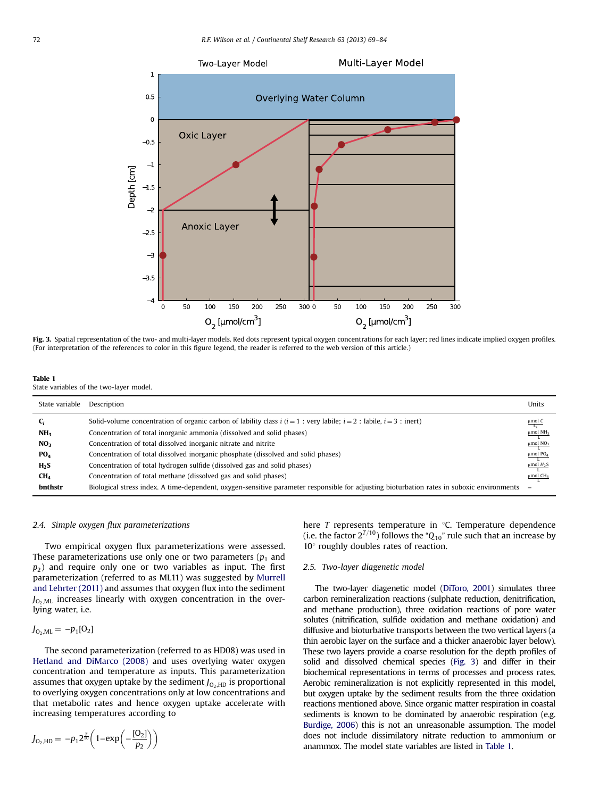<span id="page-3-0"></span>

Fig. 3. Spatial representation of the two- and multi-layer models. Red dots represent typical oxygen concentrations for each layer; red lines indicate implied oxygen profiles. (For interpretation of the references to color in this figure legend, the reader is referred to the web version of this article.)

| Table 1                                 |  |
|-----------------------------------------|--|
| State variables of the two-layer model. |  |

| State variable  | Description                                                                                                                                | Units                                      |
|-----------------|--------------------------------------------------------------------------------------------------------------------------------------------|--------------------------------------------|
| c,              | Solid-volume concentration of organic carbon of lability class $i$ ( $i = 1$ : very labile; $i = 2$ : labile, $i = 3$ : inert)             | $rac{\mu mol C}{L_s}$                      |
| NH <sub>3</sub> | Concentration of total inorganic ammonia (dissolved and solid phases)                                                                      | $rac{\mu \text{mol } NH_3}{L}$             |
| NO <sub>3</sub> | Concentration of total dissolved inorganic nitrate and nitrite                                                                             | $rac{\mu mol NO_3}{L}$                     |
| PO <sub>4</sub> | Concentration of total dissolved inorganic phosphate (dissolved and solid phases)                                                          | $\frac{\mu \text{mol} \, \text{PO}_4}{I}$  |
| $H_2S$          | Concentration of total hydrogen sulfide (dissolved gas and solid phases)                                                                   | $\frac{\mu \text{mol} H_2 S}{I}$           |
| CH <sub>4</sub> | Concentration of total methane (dissolved gas and solid phases)                                                                            | $\underbrace{\text{µmol CH}_4}_{\text{L}}$ |
| bnthstr         | Biological stress index. A time-dependent, oxygen-sensitive parameter responsible for adjusting bioturbation rates in suboxic environments | $\overline{\phantom{0}}$                   |

### 2.4. Simple oxygen flux parameterizations

Two empirical oxygen flux parameterizations were assessed. These parameterizations use only one or two parameters  $(p_1$  and  $p<sub>2</sub>$ ) and require only one or two variables as input. The first parameterization (referred to as ML11) was suggested by [Murrell](#page-15-0) [and Lehrter \(2011\)](#page-15-0) and assumes that oxygen flux into the sediment  $J_{\text{O}_2,\text{ML}}$  increases linearly with oxygen concentration in the overlying water, i.e.

$$
J_{O_2,ML} = -p_1[O_2]
$$

The second parameterization (referred to as HD08) was used in [Hetland and DiMarco \(2008\)](#page-15-0) and uses overlying water oxygen concentration and temperature as inputs. This parameterization assumes that oxygen uptake by the sediment  $J_{\text{O}_2,H\text{D}}$  is proportional to overlying oxygen concentrations only at low concentrations and that metabolic rates and hence oxygen uptake accelerate with increasing temperatures according to

$$
J_{\text{O}_2,\text{HD}} = -p_1 2^{\frac{T}{10}} \bigg( 1 - \exp \bigg( - \frac{[\text{O}_2]}{p_2} \bigg) \bigg)
$$

here  $T$  represents temperature in  $\degree$ C. Temperature dependence (i.e. the factor  $2^{T/10}$ ) follows the "Q<sub>10</sub>" rule such that an increase by  $10^\circ$  roughly doubles rates of reaction.

### 2.5. Two-layer diagenetic model

The two-layer diagenetic model ([DiToro, 2001](#page-14-0)) simulates three carbon remineralization reactions (sulphate reduction, denitrification, and methane production), three oxidation reactions of pore water solutes (nitrification, sulfide oxidation and methane oxidation) and diffusive and bioturbative transports between the two vertical layers (a thin aerobic layer on the surface and a thicker anaerobic layer below). These two layers provide a coarse resolution for the depth profiles of solid and dissolved chemical species (Fig. 3) and differ in their biochemical representations in terms of processes and process rates. Aerobic remineralization is not explicitly represented in this model, but oxygen uptake by the sediment results from the three oxidation reactions mentioned above. Since organic matter respiration in coastal sediments is known to be dominated by anaerobic respiration (e.g. [Burdige, 2006\)](#page-14-0) this is not an unreasonable assumption. The model does not include dissimilatory nitrate reduction to ammonium or anammox. The model state variables are listed in Table 1.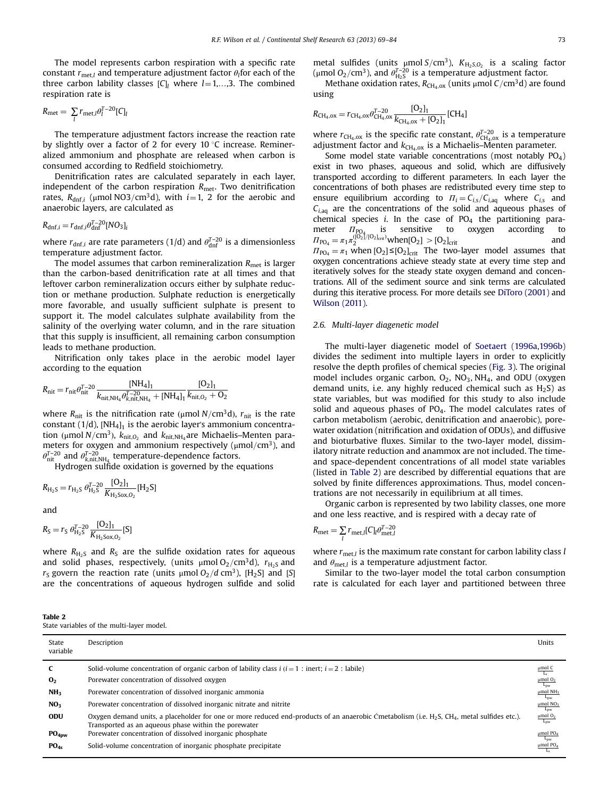The model represents carbon respiration with a specific rate constant  $r_{\text{met}}$  and temperature adjustment factor  $\theta_l$ for each of the three carbon lability classes  $[C]_l$  where  $l=1,...,3$ . The combined respiration rate is

$$
R_{\text{met}} = \sum_{l} r_{\text{met},l} \theta_l^{T-20} [C]_l
$$

The temperature adjustment factors increase the reaction rate by slightly over a factor of 2 for every 10  $\degree$ C increase. Remineralized ammonium and phosphate are released when carbon is consumed according to Redfield stoichiometry.

Denitrification rates are calculated separately in each layer, independent of the carbon respiration  $R_{\text{met}}$ . Two denitrification rates,  $R_{\text{dnf},i}$  (µmol NO3/cm<sup>3</sup>d), with *i*=1, 2 for the aerobic and anaerobic layers, are calculated as

$$
R_{\mathrm{dnf},i} = r_{\mathrm{dnf},i} \theta_{\mathrm{dnf}}^{T-20} [N O_3]_i
$$

where  $r_{\text{dnf},i}$  are rate parameters (1/d) and  $\theta_{\text{dnf}}^{T-20}$  is a dimensionless temperature adjustment factor.

The model assumes that carbon remineralization  $R_{\text{met}}$  is larger than the carbon-based denitrification rate at all times and that leftover carbon remineralization occurs either by sulphate reduction or methane production. Sulphate reduction is energetically more favorable, and usually sufficient sulphate is present to support it. The model calculates sulphate availability from the salinity of the overlying water column, and in the rare situation that this supply is insufficient, all remaining carbon consumption leads to methane production.

Nitrification only takes place in the aerobic model layer according to the equation

$$
R_{\text{nit}} = r_{\text{nit}} \theta_{\text{nit}}^{T-20} \frac{[\text{NH}_4]_1}{k_{\text{nit,NH}_4} \theta_{k,\text{nit,NH}_4}^{T-20} + [\text{NH}_4]_1} \frac{[O_2]_1}{k_{\text{nit,O}_2} + O_2}
$$

where  $R_{\text{nit}}$  is the nitrification rate ( $\mu$ mol N/cm<sup>3</sup>d),  $r_{\text{nit}}$  is the rate constant (1/d),  $[NH_4]_1$  is the aerobic layer's ammonium concentration (µmol N/cm<sup>3</sup>),  $k_{\text{nit},O_2}$  and  $k_{\text{nit},NH_4}$  are Michaelis–Menten parameters for oxygen and ammonium respectively ( $\mu$ mol/cm<sup>3</sup>), and  $\theta_{\rm nit}^{\rm T=20}$  and  $\theta_{k, \rm nit,NH_4}^{\rm T=20}$  temperature-dependence factors.

Hydrogen sulfide oxidation is governed by the equations

$$
R_{\text{H}_2\text{S}} = r_{\text{H}_2\text{S}} \theta_{\text{H}_2\text{S}}^{T-20} \frac{[\text{O}_2]_1}{K_{\text{H}_2\text{Sox},\text{O}_2}} [\text{H}_2\text{S}]
$$

and

$$
R_{\rm S} = r_{\rm S} \; \theta_{\rm H_2S}^{T-20} \frac{[\rm O_2]_1}{K_{\rm H_2Sox, O_2}} [\rm S]
$$

where  $R_{H_2S}$  and  $R_S$  are the sulfide oxidation rates for aqueous and solid phases, respectively, (units  $\mu$ mol O<sub>2</sub>/cm<sup>3</sup>d),  $r_{H_2S}$  and  $r<sub>S</sub>$  govern the reaction rate (units µmol  $O<sub>2</sub>/d$  cm<sup>3</sup>), [H<sub>2</sub>S] and [S] are the concentrations of aqueous hydrogen sulfide and solid

Table 2 State variables of the multi-layer model.

metal sulfides (units  $\mu$ mol S/cm<sup>3</sup>), K<sub>H<sub>2</sub>S;O<sub>2</sub> is a scaling factor</sub> (µmol  $O_2$ /cm<sup>3</sup>), and  $\theta_{H_2S}^{T-20}$  is a temperature adjustment factor.

Methane oxidation rates,  $R_{\text{CH}_4,0x}$  (units µmol  $C/\text{cm}^3$ d) are found using

$$
R_{\text{CH}_4,ox} = r_{\text{CH}_4,ox} \theta_{\text{CH}_4,ox}^{T-20} \frac{[O_2]_1}{k_{\text{CH}_4,ox} + [O_2]_1} [\text{CH}_4]
$$

where  $r_{\text{CH}_4,ox}$  is the specific rate constant,  $\theta_{\text{CH}_4,ox}^{T=20}$  is a temperature adjustment factor and  $k_{CH_4,0x}$  is a Michaelis–Menten parameter.

Some model state variable concentrations (most notably  $PO<sub>4</sub>$ ) exist in two phases, aqueous and solid, which are diffusively transported according to different parameters. In each layer the concentrations of both phases are redistributed every time step to ensure equilibrium according to  $\Pi_i = C_{i,s}/C_{i,aq}$  where  $C_{i,s}$  and  $C_{i, aq}$  are the concentrations of the solid and aqueous phases of chemical species  $i$ . In the case of PO<sub>4</sub> the partitioning parameter  $\Pi_{\rm PO_4}$  is sensitive to oxygen according to  $\Pi_{\text{PO}_4} = \pi_1 \pi_2^{(0)} \frac{1}{\sqrt{2}} \left[ \frac{1}{\sqrt{2}} \right] \times \left[ \frac{1}{\sqrt{2}} \right] \times \left[ \frac{1}{\sqrt{2}} \right]$  and<br> $\Pi_{\text{PO}_2} = \pi_2$  when  $[0,1 \leq 1] \times \left[ \frac{1}{\sqrt{2}} \right] \times \left[ \frac{1}{\sqrt{2}} \right]$  and  $\Pi_{\text{PO}_2}$  assumes that  $\Pi_{\text{PQ}_4} = \pi_1$  when  $[O_2] \leq [O_2]_{\text{crit}}$  The two-layer model assumes that oxygen concentrations achieve steady state at every time step and iteratively solves for the steady state oxygen demand and concentrations. All of the sediment source and sink terms are calculated during this iterative process. For more details see [DiToro \(2001\)](#page-14-0) and [Wilson \(2011\).](#page-15-0)

### 2.6. Multi-layer diagenetic model

The multi-layer diagenetic model of [Soetaert \(1996a,1996b\)](#page-15-0) divides the sediment into multiple layers in order to explicitly resolve the depth profiles of chemical species ([Fig. 3\)](#page-3-0). The original model includes organic carbon,  $O_2$ ,  $NO_3$ ,  $NH_4$ , and ODU (oxygen demand units, i.e. any highly reduced chemical such as  $H_2S$ ) as state variables, but was modified for this study to also include solid and aqueous phases of PO<sub>4</sub>. The model calculates rates of carbon metabolism (aerobic, denitrification and anaerobic), porewater oxidation (nitrification and oxidation of ODUs), and diffusive and bioturbative fluxes. Similar to the two-layer model, dissimilatory nitrate reduction and anammox are not included. The timeand space-dependent concentrations of all model state variables (listed in Table 2) are described by differential equations that are solved by finite differences approximations. Thus, model concentrations are not necessarily in equilibrium at all times.

Organic carbon is represented by two lability classes, one more and one less reactive, and is respired with a decay rate of

$$
R_{\text{met}} = \sum_{l} r_{\text{met},l} [C]_l \theta_{\text{met},l}^{T-20}
$$

where  $r_{\text{met},l}$  is the maximum rate constant for carbon lability class  $l$ and  $\theta_{\text{met}}$  is a temperature adjustment factor.

Similar to the two-layer model the total carbon consumption rate is calculated for each layer and partitioned between three

| State<br>variable | Description                                                                                                                                                                                                                 | Units                                        |
|-------------------|-----------------------------------------------------------------------------------------------------------------------------------------------------------------------------------------------------------------------------|----------------------------------------------|
| $\mathbf c$       | Solid-volume concentration of organic carbon of lability class $i$ $(i = 1 :$ inert; $i = 2 :$ labile)                                                                                                                      | $rac{\mu \text{mol C}}{L_s}$                 |
| $\mathbf{0}_2$    | Porewater concentration of dissolved oxygen                                                                                                                                                                                 | $\frac{\mu \text{mol O}_2}{L_{\text{pw}}}$   |
| NH <sub>3</sub>   | Porewater concentration of dissolved inorganic ammonia                                                                                                                                                                      | $\frac{\mu \text{mol NH}_3}{L_{\text{pw}}}$  |
| NO <sub>3</sub>   | Porewater concentration of dissolved inorganic nitrate and nitrite                                                                                                                                                          | $\frac{\mu \text{mol NO}_3}{L_{\text{pw}}}$  |
| <b>ODU</b>        | Oxygen demand units, a placeholder for one or more reduced end-products of an anaerobic Cmetabolism (i.e. H <sub>2</sub> S, CH <sub>4</sub> , metal sulfides etc.).<br>Transported as an aqueous phase within the porewater | $\frac{\mu \text{mol O}_2}{L_{\text{pw}}}$   |
| PO <sub>4pw</sub> | Porewater concentration of dissolved inorganic phosphate                                                                                                                                                                    | $\mu$ mol PO <sub>4</sub><br>$L_{\text{pw}}$ |
| $PO_{4s}$         | Solid-volume concentration of inorganic phosphate precipitate                                                                                                                                                               | $rac{\mu mol}{L_s}$ PO <sub>4</sub>          |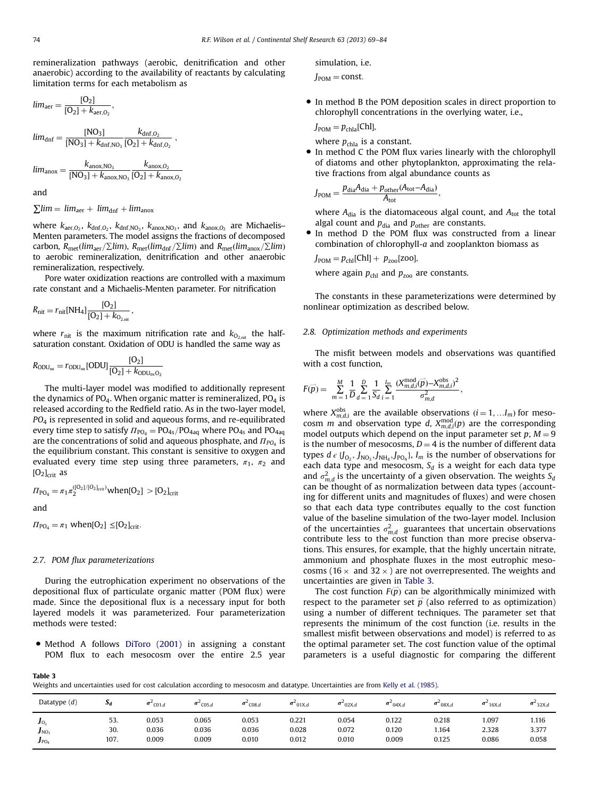<span id="page-5-0"></span>remineralization pathways (aerobic, denitrification and other anaerobic) according to the availability of reactants by calculating limitation terms for each metabolism as

$$
lim_{\text{aer}} = \frac{[O_2]}{[O_2] + k_{\text{aer}, O_2}},
$$

$$
lim_{\text{dnf}} = \frac{[NO_3]}{[NO_3] + k_{\text{dnf},NO_3}} \frac{k_{\text{dnf},O_2}}{[O_2] + k_{\text{dnf},O_2}} \,,
$$

$$
lim_{anox} = \frac{k_{anox,NO_3}}{[NO_3] + k_{anox,NO_3}} \frac{k_{anox,O_2}}{[O_2] + k_{anox,O_2}}
$$

and

 $\sum$ lim = lim<sub>aer</sub> + lim<sub>dnf</sub> + lim<sub>anox</sub>

where  $k_{\text{aer},O_2}$ ,  $k_{\text{dnf},O_2}$ ,  $k_{\text{dnf},NO_3}$ ,  $k_{\text{anox,NO}_3}$ , and  $k_{\text{anox,O}_2}$  are Michaelis– Menten parameters. The model assigns the fractions of decomposed carbon,  $R_{\text{met}}(lim_{\text{aer}}/\Sigma lim)$ ,  $R_{\text{met}}(lim_{\text{dinf}}/\Sigma lim)$  and  $R_{\text{met}}(lim_{\text{anox}}/\Sigma lim)$ to aerobic remineralization, denitrification and other anaerobic remineralization, respectively.

Pore water oxidization reactions are controlled with a maximum rate constant and a Michaelis-Menten parameter. For nitrification

$$
R_{\rm nit} = r_{\rm nit}[\text{NH}_4] \frac{[\text{O}_2]}{[\text{O}_2] + k_{\text{O}_{2,\rm nit}}},
$$

where  $r_{\text{nit}}$  is the maximum nitrification rate and  $k_{\text{O}_{2,\text{nit}}}$  the halfsaturation constant. Oxidation of ODU is handled the same way as

$$
R_{\text{ODU}_{\text{ox}}}=r_{\text{ODU}_{\text{ox}}}[ \text{ODU}] \frac{[O_2]}{[O_2]+k_{\text{ODU}_{\text{ox}}O_2}}
$$

The multi-layer model was modified to additionally represent the dynamics of  $PO_4$ . When organic matter is remineralized,  $PO_4$  is released according to the Redfield ratio. As in the two-layer model, PO<sub>4</sub> is represented in solid and aqueous forms, and re-equilibrated every time step to satisfy  $\Pi_{PQ_4} = PQ_{4s}/PO_{4aq}$  where PO<sub>4s</sub> and PO<sub>4aq</sub> are the concentrations of solid and aqueous phosphate, and  $\Pi_{PQ_4}$  is the equilibrium constant. This constant is sensitive to oxygen and evaluated every time step using three parameters,  $\pi_1$ ,  $\pi_2$  and  $[O<sub>2</sub>]<sub>crit</sub>$  as

$$
\Pi_{\text{PO}_4} = \pi_1 \pi_2^{([O_2]/[O_2]_{\text{crit}})} \text{when}[O_2] > [O_2]_{\text{crit}}
$$

and

 $\Pi_{\text{PO}_4} = \pi_1$  when $[O_2] \leq [O_2]_{\text{crit}}$ .

### 2.7. POM flux parameterizations

During the eutrophication experiment no observations of the depositional flux of particulate organic matter (POM flux) were made. Since the depositional flux is a necessary input for both layered models it was parameterized. Four parameterization methods were tested:

 Method A follows [DiToro \(2001\)](#page-14-0) in assigning a constant POM flux to each mesocosm over the entire 2.5 year

simulation, i.e.

 $J_{\text{POM}} = \text{const.}$ 

• In method B the POM deposition scales in direct proportion to chlorophyll concentrations in the overlying water, i.e.,

$$
J_{\rm POM} = p_{\rm chla}[\text{Chl}],
$$

where  $p_{\text{chla}}$  is a constant.

• In method C the POM flux varies linearly with the chlorophyll of diatoms and other phytoplankton, approximating the relative fractions from algal abundance counts as

$$
J_{\text{POM}} = \frac{p_{\text{dia}} A_{\text{dia}} + p_{\text{other}} (A_{\text{tot}} - A_{\text{dia}})}{A_{\text{tot}}},
$$

where  $A_{dia}$  is the diatomaceous algal count, and  $A_{tot}$  the total algal count and  $p_{\text{dia}}$  and  $p_{\text{other}}$  are constants.

• In method D the POM flux was constructed from a linear combination of chlorophyll-a and zooplankton biomass as

 $J_{\text{POM}} = p_{\text{ch}}[\text{Chl}] + p_{\text{zo}}[\text{zo0}],$ 

where again  $p_{\text{chl}}$  and  $p_{\text{zoo}}$  are constants.

The constants in these parameterizations were determined by nonlinear optimization as described below.

### 2.8. Optimization methods and experiments

The misfit between models and observations was quantified with a cost function,

$$
F(\vec{p}) = \sum_{m=1}^{M} \frac{1}{D} \sum_{d=1}^{D} \frac{1}{S_d} \sum_{i=1}^{I_m} \frac{(X_{m,d,i}^{mod}(\vec{p}) - X_{m,d,i}^{obs})^2}{\sigma_{m,d}^2},
$$

where  $X_{m,d,i}^{obs}$  are the available observations  $(i = 1, ... I_m)$  for meso-<br>cosm m and observation type d,  $X^{mod}(n)$  are the corresponding cosm *m* and observation type *d*,  $X_{m,d}^{\text{mod}}(p)$  are the corresponding<br>model outputs which depend on the input parameter set *m*  $M = \Omega$ model outputs which depend on the input parameter set  $p$ ;  $M = 9$ <br>is the number of mesocosms,  $D - A$  is the number of different data is the number of mesocosms,  $D = 4$  is the number of different data types  $d \in \{J_{O_2}, J_{NO_3}, J_{NH_4}, J_{PO_4}\}\$ ,  $I_m$  is the number of observations for each data type and mesocosm,  $S_d$  is a weight for each data type and  $\sigma_{m,d}^2$  is the uncertainty of a given observation. The weights  $S_d$ can be thought of as normalization between data types (accounting for different units and magnitudes of fluxes) and were chosen so that each data type contributes equally to the cost function value of the baseline simulation of the two-layer model. Inclusion of the uncertainties  $\sigma_{m,d}^2$  guarantees that uncertain observations contribute less to the cost function than more precise observations. This ensures, for example, that the highly uncertain nitrate, ammonium and phosphate fluxes in the most eutrophic mesocosms (16  $\times$  and 32  $\times$  ) are not overrepresented. The weights and uncertainties are given in Table 3.

The cost function  $F(\vec{p})$  can be algorithmically minimized with nect to the parameter set  $\vec{p}$  (also referred to as optimization) respect to the parameter set  $\vec{p}$  (also referred to as optimization) using a number of different techniques. The parameter set that represents the minimum of the cost function (i.e. results in the smallest misfit between observations and model) is referred to as the optimal parameter set. The cost function value of the optimal parameters is a useful diagnostic for comparing the different

Table 3

Weights and uncertainties used for cost calculation according to mesocosm and datatype. Uncertainties are from [Kelly et al. \(1985\).](#page-15-0)

| Datatype $(d)$            | эd   | $\mathsf{C}$ 01.d<br>σ | $\sigma$ <sup>-</sup> C <sub>05</sub> .d | $\sigma$ <sup>-</sup> $C08,d$ | $\sigma$ <sup>-</sup> 01X.d | $\sigma$ 02X.d | $\sigma$ <sup>-</sup> 04X.d | σ.<br>08X.d | $\sigma$ <sup>2</sup> 16X.d | $\sigma^2$ 32X.d |
|---------------------------|------|------------------------|------------------------------------------|-------------------------------|-----------------------------|----------------|-----------------------------|-------------|-----------------------------|------------------|
| $\mathbf{J}$ <sub>0</sub> | 53.  | 0.053                  | 0.065                                    | 0.053                         | 0.221                       | 0.054          | 0.122                       | 0.218       | 1.097                       | 1.116            |
| $J_{NO_3}$                | 30.  | 0.036                  | 0.036                                    | 0.036                         | 0.028                       | 0.072          | 0.120                       | 1.164       | 2.328                       | 3.377            |
| $J_{P_4}$                 | 107. | 0.009                  | 0.009                                    | 0.010                         | 0.012                       | 0.010          | 0.009                       | 0.125       | 0.086                       | 0.058            |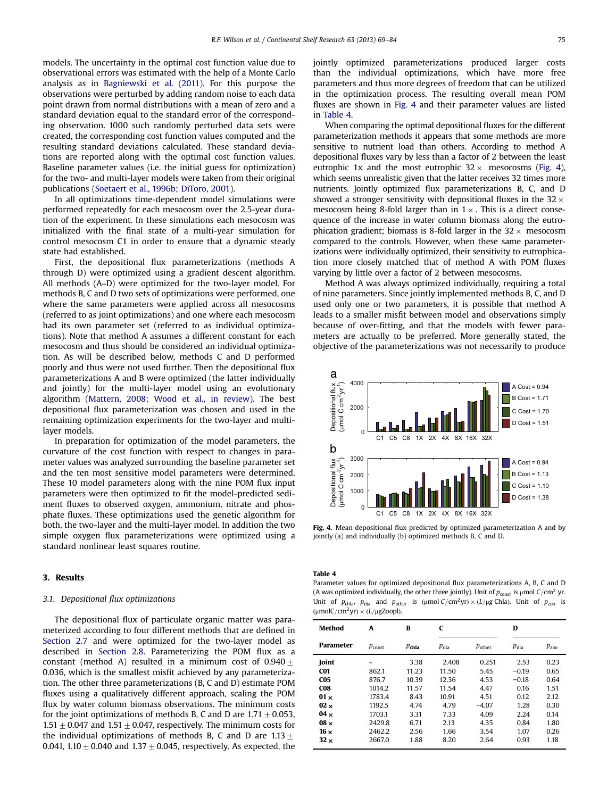models. The uncertainty in the optimal cost function value due to observational errors was estimated with the help of a Monte Carlo analysis as in [Bagniewski et al. \(2011\).](#page-14-0) For this purpose the observations were perturbed by adding random noise to each data point drawn from normal distributions with a mean of zero and a standard deviation equal to the standard error of the corresponding observation. 1000 such randomly perturbed data sets were created, the corresponding cost function values computed and the resulting standard deviations calculated. These standard deviations are reported along with the optimal cost function values. Baseline parameter values (i.e. the initial guess for optimization) for the two- and multi-layer models were taken from their original publications ([Soetaert et al., 1996b;](#page-15-0) [DiToro, 2001\)](#page-14-0).

In all optimizations time-dependent model simulations were performed repeatedly for each mesocosm over the 2.5-year duration of the experiment. In these simulations each mesocosm was initialized with the final state of a multi-year simulation for control mesocosm C1 in order to ensure that a dynamic steady state had established.

First, the depositional flux parameterizations (methods A through D) were optimized using a gradient descent algorithm. All methods (A–D) were optimized for the two-layer model. For methods B, C and D two sets of optimizations were performed, one where the same parameters were applied across all mesocosms (referred to as joint optimizations) and one where each mesocosm had its own parameter set (referred to as individual optimizations). Note that method A assumes a different constant for each mesocosm and thus should be considered an individual optimization. As will be described below, methods C and D performed poorly and thus were not used further. Then the depositional flux parameterizations A and B were optimized (the latter individually and jointly) for the multi-layer model using an evolutionary algorithm ([Mattern, 2008](#page-15-0); [Wood et al., in review](#page-15-0)). The best depositional flux parameterization was chosen and used in the remaining optimization experiments for the two-layer and multilayer models.

In preparation for optimization of the model parameters, the curvature of the cost function with respect to changes in parameter values was analyzed surrounding the baseline parameter set and the ten most sensitive model parameters were determined. These 10 model parameters along with the nine POM flux input parameters were then optimized to fit the model-predicted sediment fluxes to observed oxygen, ammonium, nitrate and phosphate fluxes. These optimizations used the genetic algorithm for both, the two-layer and the multi-layer model. In addition the two simple oxygen flux parameterizations were optimized using a standard nonlinear least squares routine.

### 3. Results

### 3.1. Depositional flux optimizations

The depositional flux of particulate organic matter was parameterized according to four different methods that are defined in [Section 2.7](#page-5-0) and were optimized for the two-layer model as described in [Section 2.8.](#page-5-0) Parameterizing the POM flux as a constant (method A) resulted in a minimum cost of  $0.940\pm$ 0.036, which is the smallest misfit achieved by any parameterization. The other three parameterizations (B, C and D) estimate POM fluxes using a qualitatively different approach, scaling the POM flux by water column biomass observations. The minimum costs for the joint optimizations of methods B, C and D are  $1.71 + 0.053$ , 1.51  $\pm$  0.047 and 1.51  $\pm$  0.047, respectively. The minimum costs for the individual optimizations of methods B, C and D are  $1.13\pm$ 0.041, 1.10  $\pm$  0.040 and 1.37  $\pm$  0.045, respectively. As expected, the jointly optimized parameterizations produced larger costs than the individual optimizations, which have more free parameters and thus more degrees of freedom that can be utilized in the optimization process. The resulting overall mean POM fluxes are shown in Fig. 4 and their parameter values are listed in Table 4.

When comparing the optimal depositional fluxes for the different parameterization methods it appears that some methods are more sensitive to nutrient load than others. According to method A depositional fluxes vary by less than a factor of 2 between the least eutrophic 1x and the most eutrophic  $32 \times$  mesocosms (Fig. 4), which seems unrealistic given that the latter receives 32 times more nutrients. Jointly optimized flux parameterizations B, C, and D showed a stronger sensitivity with depositional fluxes in the  $32 \times$ mesocosm being 8-fold larger than in  $1 \times$ . This is a direct consequence of the increase in water column biomass along the eutrophication gradient; biomass is 8-fold larger in the  $32 \times$  mesocosm compared to the controls. However, when these same parameterizations were individually optimized, their sensitivity to eutrophication more closely matched that of method A with POM fluxes varying by little over a factor of 2 between mesocosms.

Method A was always optimized individually, requiring a total of nine parameters. Since jointly implemented methods B, C, and D used only one or two parameters, it is possible that method A leads to a smaller misfit between model and observations simply because of over-fitting, and that the models with fewer parameters are actually to be preferred. More generally stated, the objective of the parameterizations was not necessarily to produce



Fig. 4. Mean depositional flux predicted by optimized parameterization A and by jointly (a) and individually (b) optimized methods B, C and D.

Table 4

Parameter values for optimized depositional flux parameterizations A, B, C and D (A was optimized individually, the other three jointly). Unit of  $p_{\text{const}}$  is  $\mu$ mol C/cm<sup>2</sup> yr. Unit of  $p_{\text{chla}}$ ,  $p_{\text{dia}}$  and  $p_{\text{other}}$  is  $(\mu \text{mol } C/\text{cm}^2 \text{yr}) \times (L/\mu g \text{Chla})$ . Unit of  $p_{\text{zoo}}$  is  $(\mu \text{molC/cm}^2 \text{yr}) \times (L/\mu \text{gZoopl}).$ 

| Method          | A                  | в          | C                |             | D                |               |
|-----------------|--------------------|------------|------------------|-------------|------------------|---------------|
| Parameter       | $p_{\text{const}}$ | $p_{chla}$ | $p_{\text{dia}}$ | $p_{other}$ | $p_{\text{dia}}$ | $p_{\rm zoo}$ |
| Joint           |                    | 3.38       | 2.408            | 0.251       | 2.53             | 0.23          |
| CO <sub>1</sub> | 862.1              | 11.23      | 11.50            | 5.45        | $-0.19$          | 0.65          |
| <b>CO5</b>      | 876.7              | 10.39      | 12.36            | 4.53        | $-0.18$          | 0.64          |
| <b>CO8</b>      | 1014.2             | 11.57      | 11.54            | 4.47        | 0.16             | 1.51          |
| $01 \times$     | 1783.4             | 8.43       | 10.91            | 4.51        | 0.12             | 2.12          |
| $02 \times$     | 1192.5             | 4.74       | 4.79             | $-4.07$     | 1.28             | 0.30          |
| $04 \times$     | 1703.1             | 3.31       | 7.33             | 4.09        | 2.24             | 0.14          |
| $08 \times$     | 2429.8             | 6.71       | 2.13             | 4.35        | 0.84             | 1.80          |
| $16 \times$     | 2462.2             | 2.56       | 1.66             | 3.54        | 1.07             | 0.26          |
| $32 \times$     | 2667.0             | 1.88       | 8.20             | 2.64        | 0.93             | 1.18          |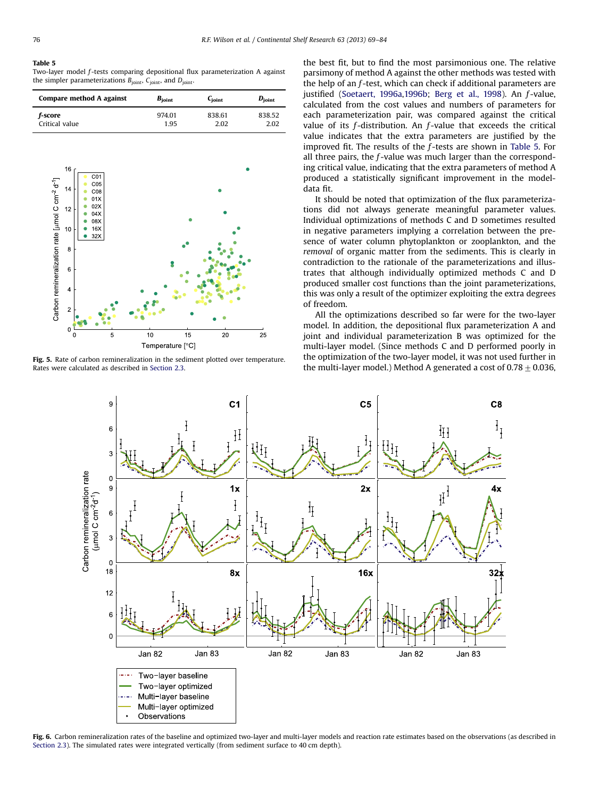### <span id="page-7-0"></span>Table 5

Two-layer model f-tests comparing depositional flux parameterization A against the simpler parameterizations  $B_{joint}$ ,  $C_{joint}$ , and  $D_{joint}$ .



Fig. 5. Rate of carbon remineralization in the sediment plotted over temperature. Rates were calculated as described in [Section 2.3.](#page-2-0)

the best fit, but to find the most parsimonious one. The relative parsimony of method A against the other methods was tested with the help of an  $f$ -test, which can check if additional parameters are justified [\(Soetaert, 1996a,1996b](#page-15-0); [Berg et al., 1998](#page-14-0)). An f-value, calculated from the cost values and numbers of parameters for each parameterization pair, was compared against the critical value of its  $f$ -distribution. An  $f$ -value that exceeds the critical value indicates that the extra parameters are justified by the improved fit. The results of the  $f$ -tests are shown in Table 5. For all three pairs, the f-value was much larger than the corresponding critical value, indicating that the extra parameters of method A produced a statistically significant improvement in the modeldata fit.

It should be noted that optimization of the flux parameterizations did not always generate meaningful parameter values. Individual optimizations of methods C and D sometimes resulted in negative parameters implying a correlation between the presence of water column phytoplankton or zooplankton, and the removal of organic matter from the sediments. This is clearly in contradiction to the rationale of the parameterizations and illustrates that although individually optimized methods C and D produced smaller cost functions than the joint parameterizations, this was only a result of the optimizer exploiting the extra degrees of freedom.

All the optimizations described so far were for the two-layer model. In addition, the depositional flux parameterization A and joint and individual parameterization B was optimized for the multi-layer model. (Since methods C and D performed poorly in the optimization of the two-layer model, it was not used further in the multi-layer model.) Method A generated a cost of  $0.78\pm0.036$ ,



Fig. 6. Carbon remineralization rates of the baseline and optimized two-layer and multi-layer models and reaction rate estimates based on the observations (as described in [Section 2.3](#page-2-0)). The simulated rates were integrated vertically (from sediment surface to 40 cm depth).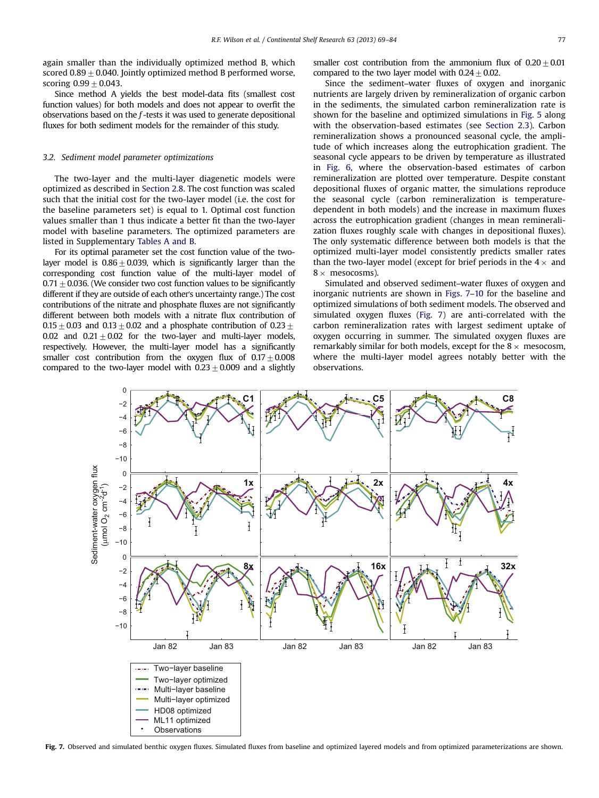<span id="page-8-0"></span>again smaller than the individually optimized method B, which scored 0.89  $\pm$  0.040. Jointly optimized method B performed worse, scoring  $0.99 + 0.043$ .

Since method A yields the best model-data fits (smallest cost function values) for both models and does not appear to overfit the observations based on the f -tests it was used to generate depositional fluxes for both sediment models for the remainder of this study.

### 3.2. Sediment model parameter optimizations

The two-layer and the multi-layer diagenetic models were optimized as described in [Section 2.8](#page-5-0). The cost function was scaled such that the initial cost for the two-layer model (i.e. the cost for the baseline parameters set) is equal to 1. Optimal cost function values smaller than 1 thus indicate a better fit than the two-layer model with baseline parameters. The optimized parameters are listed in Supplementary [Tables A and B](#page-14-0).

For its optimal parameter set the cost function value of the twolayer model is  $0.86\pm0.039$ , which is significantly larger than the corresponding cost function value of the multi-layer model of  $0.71\pm0.036$ . (We consider two cost function values to be significantly different if they are outside of each other's uncertainty range.) The cost contributions of the nitrate and phosphate fluxes are not significantly different between both models with a nitrate flux contribution of  $0.15\pm0.03$  and  $0.13\pm0.02$  and a phosphate contribution of  $0.23\pm$ 0.02 and  $0.21 + 0.02$  for the two-layer and multi-layer models, respectively. However, the multi-layer model has a significantly smaller cost contribution from the oxygen flux of  $0.17 \pm 0.008$ compared to the two-layer model with  $0.23\pm0.009$  and a slightly

smaller cost contribution from the ammonium flux of  $0.20 \pm 0.01$ compared to the two layer model with  $0.24\pm0.02$ .

Since the sediment–water fluxes of oxygen and inorganic nutrients are largely driven by remineralization of organic carbon in the sediments, the simulated carbon remineralization rate is shown for the baseline and optimized simulations in [Fig. 5](#page-7-0) along with the observation-based estimates (see [Section 2.3\)](#page-2-0). Carbon remineralization shows a pronounced seasonal cycle, the amplitude of which increases along the eutrophication gradient. The seasonal cycle appears to be driven by temperature as illustrated in [Fig. 6,](#page-7-0) where the observation-based estimates of carbon remineralization are plotted over temperature. Despite constant depositional fluxes of organic matter, the simulations reproduce the seasonal cycle (carbon remineralization is temperaturedependent in both models) and the increase in maximum fluxes across the eutrophication gradient (changes in mean remineralization fluxes roughly scale with changes in depositional fluxes). The only systematic difference between both models is that the optimized multi-layer model consistently predicts smaller rates than the two-layer model (except for brief periods in the  $4 \times$  and  $8 \times$  mesocosms).

Simulated and observed sediment–water fluxes of oxygen and inorganic nutrients are shown in Figs. 7–[10](#page-10-0) for the baseline and optimized simulations of both sediment models. The observed and simulated oxygen fluxes (Fig. 7) are anti-correlated with the carbon remineralization rates with largest sediment uptake of oxygen occurring in summer. The simulated oxygen fluxes are remarkably similar for both models, except for the  $8 \times$  mesocosm, where the multi-layer model agrees notably better with the observations.



Fig. 7. Observed and simulated benthic oxygen fluxes. Simulated fluxes from baseline and optimized layered models and from optimized parameterizations are shown.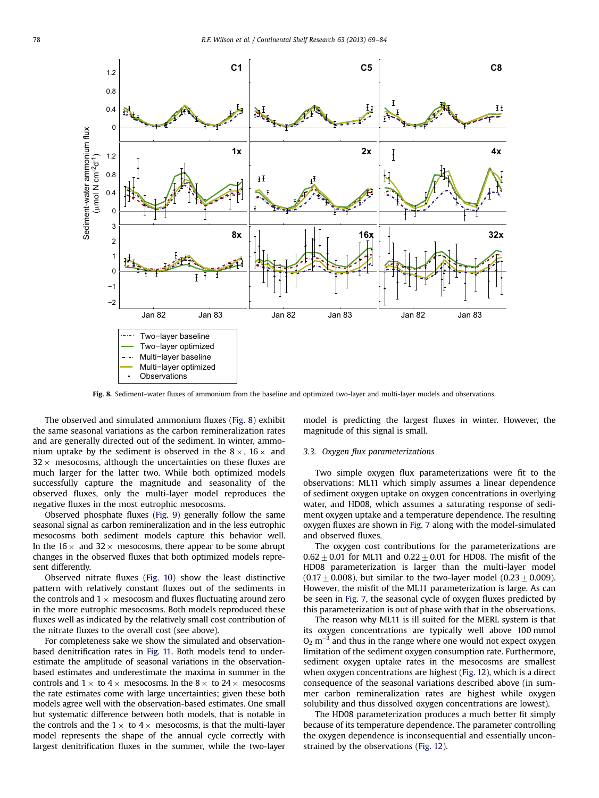<span id="page-9-0"></span>

Fig. 8. Sediment–water fluxes of ammonium from the baseline and optimized two-layer and multi-layer models and observations.

The observed and simulated ammonium fluxes (Fig. 8) exhibit the same seasonal variations as the carbon remineralization rates and are generally directed out of the sediment. In winter, ammonium uptake by the sediment is observed in the  $8 \times$ ,  $16 \times$  and  $32 \times$  mesocosms, although the uncertainties on these fluxes are much larger for the latter two. While both optimized models successfully capture the magnitude and seasonality of the observed fluxes, only the multi-layer model reproduces the negative fluxes in the most eutrophic mesocosms.

Observed phosphate fluxes [\(Fig. 9](#page-10-0)) generally follow the same seasonal signal as carbon remineralization and in the less eutrophic mesocosms both sediment models capture this behavior well. In the  $16 \times$  and  $32 \times$  mesocosms, there appear to be some abrupt changes in the observed fluxes that both optimized models represent differently.

Observed nitrate fluxes [\(Fig. 10\)](#page-10-0) show the least distinctive pattern with relatively constant fluxes out of the sediments in the controls and  $1 \times$  mesocosm and fluxes fluctuating around zero in the more eutrophic mesocosms. Both models reproduced these fluxes well as indicated by the relatively small cost contribution of the nitrate fluxes to the overall cost (see above).

For completeness sake we show the simulated and observationbased denitrification rates in [Fig. 11](#page-11-0). Both models tend to underestimate the amplitude of seasonal variations in the observationbased estimates and underestimate the maxima in summer in the controls and  $1 \times$  to  $4 \times$  mesocosms. In the  $8 \times$  to  $24 \times$  mesocosms the rate estimates come with large uncertainties; given these both models agree well with the observation-based estimates. One small but systematic difference between both models, that is notable in the controls and the  $1 \times$  to  $4 \times$  mesocosms, is that the multi-layer model represents the shape of the annual cycle correctly with largest denitrification fluxes in the summer, while the two-layer model is predicting the largest fluxes in winter. However, the magnitude of this signal is small.

### 3.3. Oxygen flux parameterizations

Two simple oxygen flux parameterizations were fit to the observations: ML11 which simply assumes a linear dependence of sediment oxygen uptake on oxygen concentrations in overlying water, and HD08, which assumes a saturating response of sediment oxygen uptake and a temperature dependence. The resulting oxygen fluxes are shown in [Fig. 7](#page-8-0) along with the model-simulated and observed fluxes.

The oxygen cost contributions for the parameterizations are  $0.62 \pm 0.01$  for ML11 and  $0.22 \pm 0.01$  for HD08. The misfit of the HD08 parameterization is larger than the multi-layer model  $(0.17 \pm 0.008)$ , but similar to the two-layer model  $(0.23 \pm 0.009)$ . However, the misfit of the ML11 parameterization is large. As can be seen in [Fig. 7](#page-8-0), the seasonal cycle of oxygen fluxes predicted by this parameterization is out of phase with that in the observations.

The reason why ML11 is ill suited for the MERL system is that its oxygen concentrations are typically well above 100 mmol  $O_2$  m<sup>-3</sup> and thus in the range where one would not expect oxygen limitation of the sediment oxygen consumption rate. Furthermore, sediment oxygen uptake rates in the mesocosms are smallest when oxygen concentrations are highest ([Fig. 12\)](#page-11-0), which is a direct consequence of the seasonal variations described above (in summer carbon remineralization rates are highest while oxygen solubility and thus dissolved oxygen concentrations are lowest).

The HD08 parameterization produces a much better fit simply because of its temperature dependence. The parameter controlling the oxygen dependence is inconsequential and essentially unconstrained by the observations [\(Fig. 12\)](#page-11-0).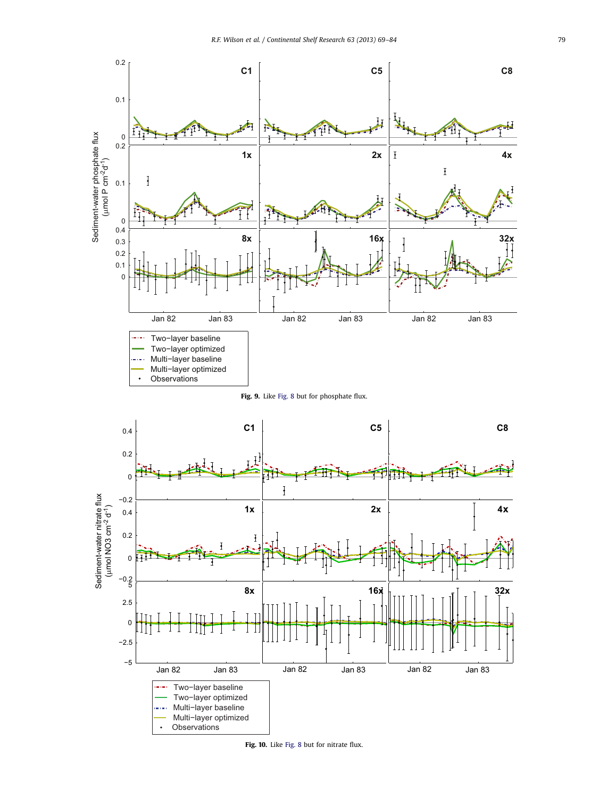<span id="page-10-0"></span>

Fig. 10. Like [Fig. 8](#page-9-0) but for nitrate flux.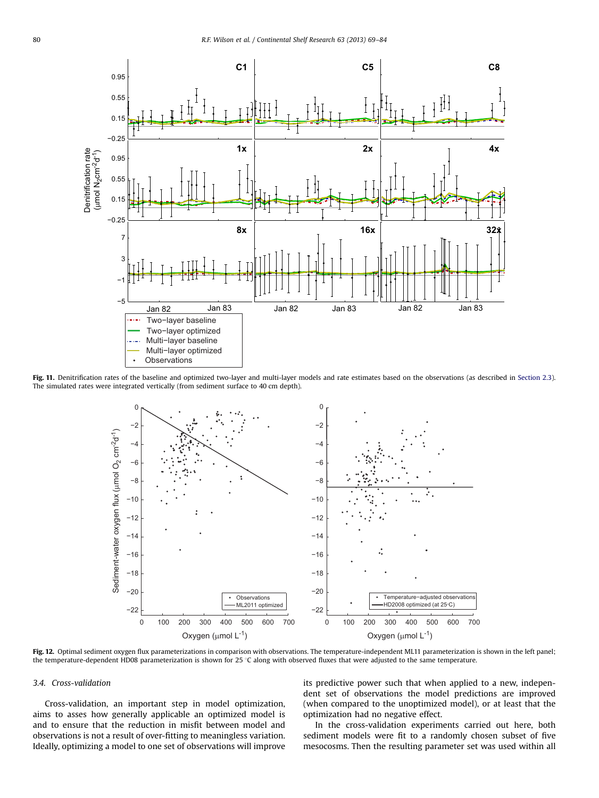<span id="page-11-0"></span>

Fig. 11. Denitrification rates of the baseline and optimized two-layer and multi-layer models and rate estimates based on the observations (as described in [Section 2.3\)](#page-2-0). The simulated rates were integrated vertically (from sediment surface to 40 cm depth).



Fig. 12. Optimal sediment oxygen flux parameterizations in comparison with observations. The temperature-independent ML11 parameterization is shown in the left panel; the temperature-dependent HD08 parameterization is shown for 25  $\degree$ C along with observed fluxes that were adjusted to the same temperature.

### 3.4. Cross-validation

Cross-validation, an important step in model optimization, aims to asses how generally applicable an optimized model is and to ensure that the reduction in misfit between model and observations is not a result of over-fitting to meaningless variation. Ideally, optimizing a model to one set of observations will improve

its predictive power such that when applied to a new, independent set of observations the model predictions are improved (when compared to the unoptimized model), or at least that the optimization had no negative effect.

In the cross-validation experiments carried out here, both sediment models were fit to a randomly chosen subset of five mesocosms. Then the resulting parameter set was used within all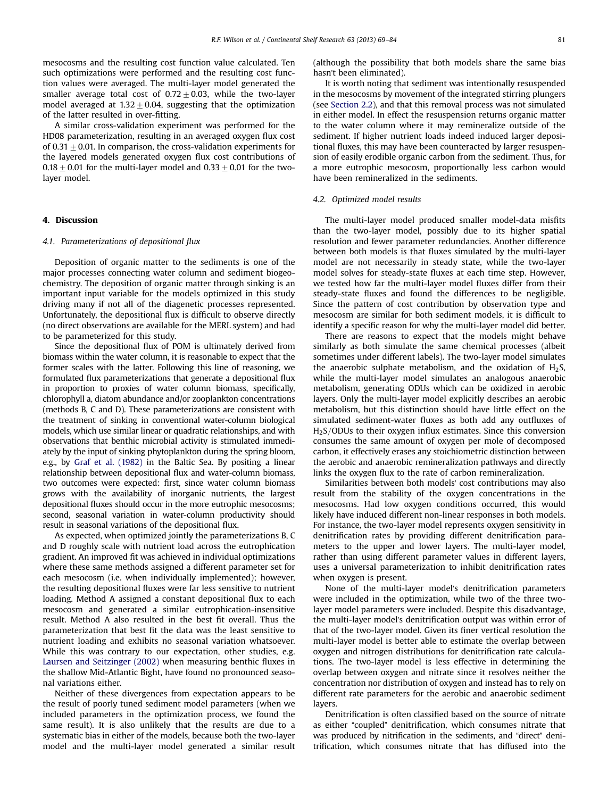<span id="page-12-0"></span>mesocosms and the resulting cost function value calculated. Ten such optimizations were performed and the resulting cost function values were averaged. The multi-layer model generated the smaller average total cost of  $0.72 \pm 0.03$ , while the two-layer model averaged at  $1.32 \pm 0.04$ , suggesting that the optimization of the latter resulted in over-fitting.

A similar cross-validation experiment was performed for the HD08 parameterization, resulting in an averaged oxygen flux cost of 0.31  $\pm$  0.01. In comparison, the cross-validation experiments for the layered models generated oxygen flux cost contributions of  $0.18 + 0.01$  for the multi-layer model and  $0.33 + 0.01$  for the twolayer model.

### 4. Discussion

### 4.1. Parameterizations of depositional flux

Deposition of organic matter to the sediments is one of the major processes connecting water column and sediment biogeochemistry. The deposition of organic matter through sinking is an important input variable for the models optimized in this study driving many if not all of the diagenetic processes represented. Unfortunately, the depositional flux is difficult to observe directly (no direct observations are available for the MERL system) and had to be parameterized for this study.

Since the depositional flux of POM is ultimately derived from biomass within the water column, it is reasonable to expect that the former scales with the latter. Following this line of reasoning, we formulated flux parameterizations that generate a depositional flux in proportion to proxies of water column biomass, specifically, chlorophyll a, diatom abundance and/or zooplankton concentrations (methods B, C and D). These parameterizations are consistent with the treatment of sinking in conventional water-column biological models, which use similar linear or quadratic relationships, and with observations that benthic microbial activity is stimulated immediately by the input of sinking phytoplankton during the spring bloom, e.g., by [Graf et al. \(1982\)](#page-15-0) in the Baltic Sea. By positing a linear relationship between depositional flux and water-column biomass, two outcomes were expected: first, since water column biomass grows with the availability of inorganic nutrients, the largest depositional fluxes should occur in the more eutrophic mesocosms; second, seasonal variation in water-column productivity should result in seasonal variations of the depositional flux.

As expected, when optimized jointly the parameterizations B, C and D roughly scale with nutrient load across the eutrophication gradient. An improved fit was achieved in individual optimizations where these same methods assigned a different parameter set for each mesocosm (i.e. when individually implemented); however, the resulting depositional fluxes were far less sensitive to nutrient loading. Method A assigned a constant depositional flux to each mesocosm and generated a similar eutrophication-insensitive result. Method A also resulted in the best fit overall. Thus the parameterization that best fit the data was the least sensitive to nutrient loading and exhibits no seasonal variation whatsoever. While this was contrary to our expectation, other studies, e.g. [Laursen and Seitzinger \(2002\)](#page-15-0) when measuring benthic fluxes in the shallow Mid-Atlantic Bight, have found no pronounced seasonal variations either.

Neither of these divergences from expectation appears to be the result of poorly tuned sediment model parameters (when we included parameters in the optimization process, we found the same result). It is also unlikely that the results are due to a systematic bias in either of the models, because both the two-layer model and the multi-layer model generated a similar result (although the possibility that both models share the same bias hasn't been eliminated).

It is worth noting that sediment was intentionally resuspended in the mesocosms by movement of the integrated stirring plungers (see [Section 2.2\)](#page-1-0), and that this removal process was not simulated in either model. In effect the resuspension returns organic matter to the water column where it may remineralize outside of the sediment. If higher nutrient loads indeed induced larger depositional fluxes, this may have been counteracted by larger resuspension of easily erodible organic carbon from the sediment. Thus, for a more eutrophic mesocosm, proportionally less carbon would have been remineralized in the sediments.

### 4.2. Optimized model results

The multi-layer model produced smaller model-data misfits than the two-layer model, possibly due to its higher spatial resolution and fewer parameter redundancies. Another difference between both models is that fluxes simulated by the multi-layer model are not necessarily in steady state, while the two-layer model solves for steady-state fluxes at each time step. However, we tested how far the multi-layer model fluxes differ from their steady-state fluxes and found the differences to be negligible. Since the pattern of cost contribution by observation type and mesocosm are similar for both sediment models, it is difficult to identify a specific reason for why the multi-layer model did better.

There are reasons to expect that the models might behave similarly as both simulate the same chemical processes (albeit sometimes under different labels). The two-layer model simulates the anaerobic sulphate metabolism, and the oxidation of  $H_2S$ , while the multi-layer model simulates an analogous anaerobic metabolism, generating ODUs which can be oxidized in aerobic layers. Only the multi-layer model explicitly describes an aerobic metabolism, but this distinction should have little effect on the simulated sediment-water fluxes as both add any outfluxes of  $H<sub>2</sub>S/ODUs$  to their oxygen influx estimates. Since this conversion consumes the same amount of oxygen per mole of decomposed carbon, it effectively erases any stoichiometric distinction between the aerobic and anaerobic remineralization pathways and directly links the oxygen flux to the rate of carbon remineralization.

Similarities between both models' cost contributions may also result from the stability of the oxygen concentrations in the mesocosms. Had low oxygen conditions occurred, this would likely have induced different non-linear responses in both models. For instance, the two-layer model represents oxygen sensitivity in denitrification rates by providing different denitrification parameters to the upper and lower layers. The multi-layer model, rather than using different parameter values in different layers, uses a universal parameterization to inhibit denitrification rates when oxygen is present.

None of the multi-layer model's denitrification parameters were included in the optimization, while two of the three twolayer model parameters were included. Despite this disadvantage, the multi-layer model's denitrification output was within error of that of the two-layer model. Given its finer vertical resolution the multi-layer model is better able to estimate the overlap between oxygen and nitrogen distributions for denitrification rate calculations. The two-layer model is less effective in determining the overlap between oxygen and nitrate since it resolves neither the concentration nor distribution of oxygen and instead has to rely on different rate parameters for the aerobic and anaerobic sediment layers.

Denitrification is often classified based on the source of nitrate as either "coupled" denitrification, which consumes nitrate that was produced by nitrification in the sediments, and "direct" denitrification, which consumes nitrate that has diffused into the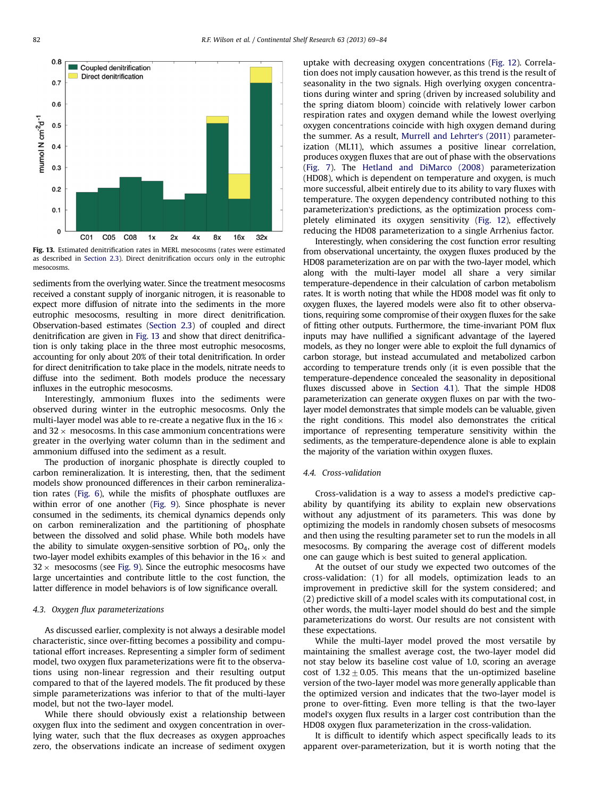

Fig. 13. Estimated denitrification rates in MERL mesocosms (rates were estimated as described in [Section 2.3](#page-2-0)). Direct denitrification occurs only in the eutrophic mesocosms.

sediments from the overlying water. Since the treatment mesocosms received a constant supply of inorganic nitrogen, it is reasonable to expect more diffusion of nitrate into the sediments in the more eutrophic mesocosms, resulting in more direct denitrification. Observation-based estimates ([Section 2.3\)](#page-2-0) of coupled and direct denitrification are given in Fig. 13 and show that direct denitrification is only taking place in the three most eutrophic mesocosms, accounting for only about 20% of their total denitrification. In order for direct denitrification to take place in the models, nitrate needs to diffuse into the sediment. Both models produce the necessary influxes in the eutrophic mesocosms.

Interestingly, ammonium fluxes into the sediments were observed during winter in the eutrophic mesocosms. Only the multi-layer model was able to re-create a negative flux in the  $16 \times$ and 32  $\times$  mesocosms. In this case ammonium concentrations were greater in the overlying water column than in the sediment and ammonium diffused into the sediment as a result.

The production of inorganic phosphate is directly coupled to carbon remineralization. It is interesting, then, that the sediment models show pronounced differences in their carbon remineralization rates [\(Fig. 6\)](#page-7-0), while the misfits of phosphate outfluxes are within error of one another [\(Fig. 9\)](#page-10-0). Since phosphate is never consumed in the sediments, its chemical dynamics depends only on carbon remineralization and the partitioning of phosphate between the dissolved and solid phase. While both models have the ability to simulate oxygen-sensitive sorbtion of  $PO<sub>4</sub>$ , only the two-layer model exhibits examples of this behavior in the  $16 \times$  and  $32 \times$  mesocosms (see [Fig. 9\)](#page-10-0). Since the eutrophic mesocosms have large uncertainties and contribute little to the cost function, the latter difference in model behaviors is of low significance overall.

### 4.3. Oxygen flux parameterizations

As discussed earlier, complexity is not always a desirable model characteristic, since over-fitting becomes a possibility and computational effort increases. Representing a simpler form of sediment model, two oxygen flux parameterizations were fit to the observations using non-linear regression and their resulting output compared to that of the layered models. The fit produced by these simple parameterizations was inferior to that of the multi-layer model, but not the two-layer model.

While there should obviously exist a relationship between oxygen flux into the sediment and oxygen concentration in overlying water, such that the flux decreases as oxygen approaches zero, the observations indicate an increase of sediment oxygen uptake with decreasing oxygen concentrations ([Fig. 12\)](#page-11-0). Correlation does not imply causation however, as this trend is the result of seasonality in the two signals. High overlying oxygen concentrations during winter and spring (driven by increased solubility and the spring diatom bloom) coincide with relatively lower carbon respiration rates and oxygen demand while the lowest overlying oxygen concentrations coincide with high oxygen demand during the summer. As a result, [Murrell and Lehrter](#page-15-0)'s (2011) parameterization (ML11), which assumes a positive linear correlation, produces oxygen fluxes that are out of phase with the observations ([Fig. 7\)](#page-8-0). The [Hetland and DiMarco \(2008\)](#page-15-0) parameterization (HD08), which is dependent on temperature and oxygen, is much more successful, albeit entirely due to its ability to vary fluxes with temperature. The oxygen dependency contributed nothing to this parameterization's predictions, as the optimization process completely eliminated its oxygen sensitivity ([Fig. 12](#page-11-0)), effectively reducing the HD08 parameterization to a single Arrhenius factor.

Interestingly, when considering the cost function error resulting from observational uncertainty, the oxygen fluxes produced by the HD08 parameterization are on par with the two-layer model, which along with the multi-layer model all share a very similar temperature-dependence in their calculation of carbon metabolism rates. It is worth noting that while the HD08 model was fit only to oxygen fluxes, the layered models were also fit to other observations, requiring some compromise of their oxygen fluxes for the sake of fitting other outputs. Furthermore, the time-invariant POM flux inputs may have nullified a significant advantage of the layered models, as they no longer were able to exploit the full dynamics of carbon storage, but instead accumulated and metabolized carbon according to temperature trends only (it is even possible that the temperature-dependence concealed the seasonality in depositional fluxes discussed above in [Section 4.1](#page-12-0)). That the simple HD08 parameterization can generate oxygen fluxes on par with the twolayer model demonstrates that simple models can be valuable, given the right conditions. This model also demonstrates the critical importance of representing temperature sensitivity within the sediments, as the temperature-dependence alone is able to explain the majority of the variation within oxygen fluxes.

### 4.4. Cross-validation

Cross-validation is a way to assess a model's predictive capability by quantifying its ability to explain new observations without any adjustment of its parameters. This was done by optimizing the models in randomly chosen subsets of mesocosms and then using the resulting parameter set to run the models in all mesocosms. By comparing the average cost of different models one can gauge which is best suited to general application.

At the outset of our study we expected two outcomes of the cross-validation: (1) for all models, optimization leads to an improvement in predictive skill for the system considered; and (2) predictive skill of a model scales with its computational cost, in other words, the multi-layer model should do best and the simple parameterizations do worst. Our results are not consistent with these expectations.

While the multi-layer model proved the most versatile by maintaining the smallest average cost, the two-layer model did not stay below its baseline cost value of 1.0, scoring an average cost of  $1.32 \pm 0.05$ . This means that the un-optimized baseline version of the two-layer model was more generally applicable than the optimized version and indicates that the two-layer model is prone to over-fitting. Even more telling is that the two-layer model's oxygen flux results in a larger cost contribution than the HD08 oxygen flux parameterization in the cross-validation.

It is difficult to identify which aspect specifically leads to its apparent over-parameterization, but it is worth noting that the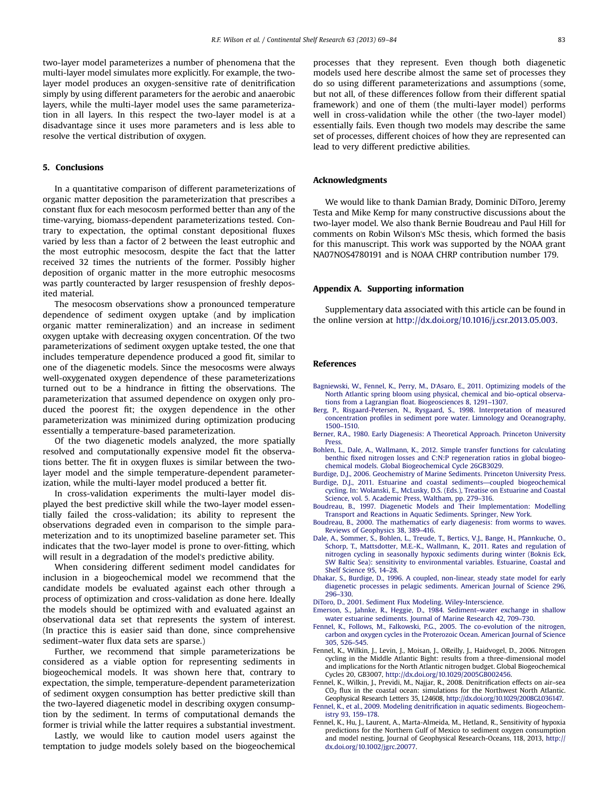<span id="page-14-0"></span>two-layer model parameterizes a number of phenomena that the multi-layer model simulates more explicitly. For example, the twolayer model produces an oxygen-sensitive rate of denitrification simply by using different parameters for the aerobic and anaerobic layers, while the multi-layer model uses the same parameterization in all layers. In this respect the two-layer model is at a disadvantage since it uses more parameters and is less able to resolve the vertical distribution of oxygen.

### 5. Conclusions

In a quantitative comparison of different parameterizations of organic matter deposition the parameterization that prescribes a constant flux for each mesocosm performed better than any of the time-varying, biomass-dependent parameterizations tested. Contrary to expectation, the optimal constant depositional fluxes varied by less than a factor of 2 between the least eutrophic and the most eutrophic mesocosm, despite the fact that the latter received 32 times the nutrients of the former. Possibly higher deposition of organic matter in the more eutrophic mesocosms was partly counteracted by larger resuspension of freshly deposited material.

The mesocosm observations show a pronounced temperature dependence of sediment oxygen uptake (and by implication organic matter remineralization) and an increase in sediment oxygen uptake with decreasing oxygen concentration. Of the two parameterizations of sediment oxygen uptake tested, the one that includes temperature dependence produced a good fit, similar to one of the diagenetic models. Since the mesocosms were always well-oxygenated oxygen dependence of these parameterizations turned out to be a hindrance in fitting the observations. The parameterization that assumed dependence on oxygen only produced the poorest fit; the oxygen dependence in the other parameterization was minimized during optimization producing essentially a temperature-based parameterization.

Of the two diagenetic models analyzed, the more spatially resolved and computationally expensive model fit the observations better. The fit in oxygen fluxes is similar between the twolayer model and the simple temperature-dependent parameterization, while the multi-layer model produced a better fit.

In cross-validation experiments the multi-layer model displayed the best predictive skill while the two-layer model essentially failed the cross-validation; its ability to represent the observations degraded even in comparison to the simple parameterization and to its unoptimized baseline parameter set. This indicates that the two-layer model is prone to over-fitting, which will result in a degradation of the model's predictive ability.

When considering different sediment model candidates for inclusion in a biogeochemical model we recommend that the candidate models be evaluated against each other through a process of optimization and cross-validation as done here. Ideally the models should be optimized with and evaluated against an observational data set that represents the system of interest. (In practice this is easier said than done, since comprehensive sediment–water flux data sets are sparse.)

Further, we recommend that simple parameterizations be considered as a viable option for representing sediments in biogeochemical models. It was shown here that, contrary to expectation, the simple, temperature-dependent parameterization of sediment oxygen consumption has better predictive skill than the two-layered diagenetic model in describing oxygen consumption by the sediment. In terms of computational demands the former is trivial while the latter requires a substantial investment.

Lastly, we would like to caution model users against the temptation to judge models solely based on the biogeochemical processes that they represent. Even though both diagenetic models used here describe almost the same set of processes they do so using different parameterizations and assumptions (some, but not all, of these differences follow from their different spatial framework) and one of them (the multi-layer model) performs well in cross-validation while the other (the two-layer model) essentially fails. Even though two models may describe the same set of processes, different choices of how they are represented can lead to very different predictive abilities.

### Acknowledgments

We would like to thank Damian Brady, Dominic DiToro, Jeremy Testa and Mike Kemp for many constructive discussions about the two-layer model. We also thank Bernie Boudreau and Paul Hill for comments on Robin Wilson's MSc thesis, which formed the basis for this manuscript. This work was supported by the NOAA grant NA07NOS4780191 and is NOAA CHRP contribution number 179.

### Appendix A. Supporting information

Supplementary data associated with this article can be found in the online version at [http://dx.doi.org/10.1016/j.csr.2013.05.003.](dx.doi.org/doi:10.1016/j.csr.2013.05.003)

### References

- Bagniewski, W., Fennel, K., Perry, M., D'[Asaro, E., 2011. Optimizing models of the](http://refhub.elsevier.com/S0278-4343(13)00150-7/sbref1) [North Atlantic spring bloom using physical, chemical and bio-optical observa](http://refhub.elsevier.com/S0278-4343(13)00150-7/sbref1)tions from a Lagrangian fl[oat. Biogeosciences 8, 1291](http://refhub.elsevier.com/S0278-4343(13)00150-7/sbref1)–1307.
- [Berg, P., Risgaard-Petersen, N., Rysgaard, S., 1998. Interpretation of measured](http://refhub.elsevier.com/S0278-4343(13)00150-7/sbref2) concentration profi[les in sediment pore water. Limnology and Oceanography,](http://refhub.elsevier.com/S0278-4343(13)00150-7/sbref2) 1500–[1510.](http://refhub.elsevier.com/S0278-4343(13)00150-7/sbref2)
- [Berner, R.A., 1980. Early Diagenesis: A Theoretical Approach. Princeton University](http://refhub.elsevier.com/S0278-4343(13)00150-7/sbref3) [Press.](http://refhub.elsevier.com/S0278-4343(13)00150-7/sbref3)
- [Bohlen, L., Dale, A., Wallmann, K., 2012. Simple transfer functions for calculating](http://refhub.elsevier.com/S0278-4343(13)00150-7/sbref4) benthic fi[xed nitrogen losses and C:N:P regeneration ratios in global biogeo](http://refhub.elsevier.com/S0278-4343(13)00150-7/sbref4)[chemical models. Global Biogeochemical Cycle 26GB3029.](http://refhub.elsevier.com/S0278-4343(13)00150-7/sbref4)
- [Burdige, D.J., 2006. Geochemistry of Marine Sediments. Princeton University Press.](http://refhub.elsevier.com/S0278-4343(13)00150-7/sbref5) [Burdige, D.J., 2011. Estuarine and coastal sediments](http://refhub.elsevier.com/S0278-4343(13)00150-7/sbref6)—coupled biogeochemical [cycling. In: Wolanski, E., McLusky, D.S. \(Eds.\), Treatise on Estuarine and Coastal](http://refhub.elsevier.com/S0278-4343(13)00150-7/sbref6) [Science, vol. 5. Academic Press, Waltham, pp. 279](http://refhub.elsevier.com/S0278-4343(13)00150-7/sbref6)–316.
- [Boudreau, B., 1997. Diagenetic Models and Their Implementation: Modelling](http://refhub.elsevier.com/S0278-4343(13)00150-7/sbref7) [Transport and Reactions in Aquatic Sediments. Springer, New York.](http://refhub.elsevier.com/S0278-4343(13)00150-7/sbref7)
- [Boudreau, B., 2000. The mathematics of early diagenesis: from worms to waves.](http://refhub.elsevier.com/S0278-4343(13)00150-7/sbref8) [Reviews of Geophysics 38, 389](http://refhub.elsevier.com/S0278-4343(13)00150-7/sbref8)–416.
- [Dale, A., Sommer, S., Bohlen, L., Treude, T., Bertics, V.J., Bange, H., Pfannkuche, O.,](http://refhub.elsevier.com/S0278-4343(13)00150-7/sbref9) [Schorp, T., Mattsdotter, M.E.-K., Wallmann, K., 2011. Rates and regulation of](http://refhub.elsevier.com/S0278-4343(13)00150-7/sbref9) [nitrogen cycling in seasonally hypoxic sediments during winter \(Boknis Eck,](http://refhub.elsevier.com/S0278-4343(13)00150-7/sbref9) [SW Baltic Sea\): sensitivity to environmental variables. Estuarine, Coastal and](http://refhub.elsevier.com/S0278-4343(13)00150-7/sbref9) [Shelf Science 95, 14](http://refhub.elsevier.com/S0278-4343(13)00150-7/sbref9)–28.
- [Dhakar, S., Burdige, D., 1996. A coupled, non-linear, steady state model for early](http://refhub.elsevier.com/S0278-4343(13)00150-7/sbref10) [diagenetic processes in pelagic sediments. American Journal of Science 296,](http://refhub.elsevier.com/S0278-4343(13)00150-7/sbref10) 296–[330.](http://refhub.elsevier.com/S0278-4343(13)00150-7/sbref10)
- [DiToro, D., 2001. Sediment Flux Modeling. Wiley-Interscience.](http://refhub.elsevier.com/S0278-4343(13)00150-7/sbref11)
- [Emerson, S., Jahnke, R., Heggie, D., 1984. Sediment](http://refhub.elsevier.com/S0278-4343(13)00150-7/sbref12)–water exchange in shallow [water estuarine sediments. Journal of Marine Research 42, 709](http://refhub.elsevier.com/S0278-4343(13)00150-7/sbref12)–730.
- [Fennel, K., Follows, M., Falkowski, P.G., 2005. The co-evolution of the nitrogen,](http://refhub.elsevier.com/S0278-4343(13)00150-7/sbref13) [carbon and oxygen cycles in the Proterozoic Ocean. American Journal of Science](http://refhub.elsevier.com/S0278-4343(13)00150-7/sbref13) [305, 526](http://refhub.elsevier.com/S0278-4343(13)00150-7/sbref13)–545.
- Fennel, K., Wilkin, J., Levin, J., Moisan, J., OReilly, J., Haidvogel, D., 2006. Nitrogen cycling in the Middle Atlantic Bight: results from a three-dimensional model and implications for the North Atlantic nitrogen budget. Global Biogeochemical Cycles 20, GB3007, [http://dx.doi.org/10.1029/2005GB002456.](http://dx.doi.org/10.1029/2005GB002456)
- Fennel, K., Wilkin, J., Previdi, M., Najjar, R., 2008. Denitrification effects on air–sea  $CO<sub>2</sub>$  flux in the coastal ocean: simulations for the Northwest North Atlantic. Geophysical Research Letters 35, L24608, <http://dx.doi.org/10.1029/2008GL036147>.
- Fennel, K., et al., 2009. Modeling denitrifi[cation in aquatic sediments. Biogeochem](http://refhub.elsevier.com/S0278-4343(13)00150-7/sbref16)[istry 93, 159](http://refhub.elsevier.com/S0278-4343(13)00150-7/sbref16)–178.
- Fennel, K., Hu, J., Laurent, A., Marta-Almeida, M., Hetland, R., Sensitivity of hypoxia predictions for the Northern Gulf of Mexico to sediment oxygen consumption and model nesting, Journal of Geophysical Research-Oceans, 118, 2013, [http://](dx.doi.org/10.1002/jgrc.20077) <dx.doi.org/10.1002/jgrc.20077>.